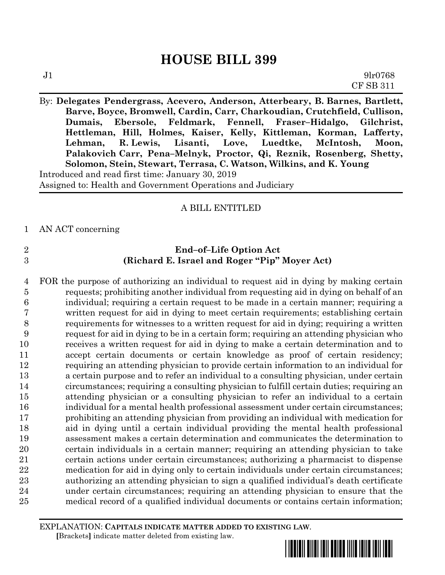By: **Delegates Pendergrass, Acevero, Anderson, Atterbeary, B. Barnes, Bartlett, Barve, Boyce, Bromwell, Cardin, Carr, Charkoudian, Crutchfield, Cullison, Dumais, Ebersole, Feldmark, Fennell, Fraser–Hidalgo, Gilchrist, Hettleman, Hill, Holmes, Kaiser, Kelly, Kittleman, Korman, Lafferty, Lehman, R. Lewis, Lisanti, Love, Luedtke, McIntosh, Moon, Palakovich Carr, Pena–Melnyk, Proctor, Qi, Reznik, Rosenberg, Shetty, Solomon, Stein, Stewart, Terrasa, C. Watson, Wilkins, and K. Young** Introduced and read first time: January 30, 2019 Assigned to: Health and Government Operations and Judiciary

# A BILL ENTITLED

AN ACT concerning

- 
- **End–of–Life Option Act (Richard E. Israel and Roger "Pip" Moyer Act)**

 FOR the purpose of authorizing an individual to request aid in dying by making certain requests; prohibiting another individual from requesting aid in dying on behalf of an individual; requiring a certain request to be made in a certain manner; requiring a written request for aid in dying to meet certain requirements; establishing certain requirements for witnesses to a written request for aid in dying; requiring a written request for aid in dying to be in a certain form; requiring an attending physician who receives a written request for aid in dying to make a certain determination and to accept certain documents or certain knowledge as proof of certain residency; requiring an attending physician to provide certain information to an individual for a certain purpose and to refer an individual to a consulting physician, under certain circumstances; requiring a consulting physician to fulfill certain duties; requiring an attending physician or a consulting physician to refer an individual to a certain individual for a mental health professional assessment under certain circumstances; prohibiting an attending physician from providing an individual with medication for aid in dying until a certain individual providing the mental health professional assessment makes a certain determination and communicates the determination to certain individuals in a certain manner; requiring an attending physician to take certain actions under certain circumstances; authorizing a pharmacist to dispense medication for aid in dying only to certain individuals under certain circumstances; authorizing an attending physician to sign a qualified individual's death certificate under certain circumstances; requiring an attending physician to ensure that the medical record of a qualified individual documents or contains certain information;

EXPLANATION: **CAPITALS INDICATE MATTER ADDED TO EXISTING LAW**.  **[**Brackets**]** indicate matter deleted from existing law.

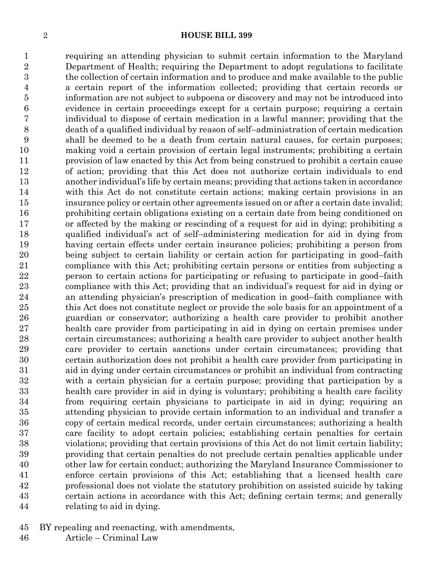requiring an attending physician to submit certain information to the Maryland Department of Health; requiring the Department to adopt regulations to facilitate the collection of certain information and to produce and make available to the public a certain report of the information collected; providing that certain records or information are not subject to subpoena or discovery and may not be introduced into evidence in certain proceedings except for a certain purpose; requiring a certain individual to dispose of certain medication in a lawful manner; providing that the death of a qualified individual by reason of self–administration of certain medication shall be deemed to be a death from certain natural causes, for certain purposes; making void a certain provision of certain legal instruments; prohibiting a certain provision of law enacted by this Act from being construed to prohibit a certain cause of action; providing that this Act does not authorize certain individuals to end another individual's life by certain means; providing that actions taken in accordance with this Act do not constitute certain actions; making certain provisions in an insurance policy or certain other agreements issued on or after a certain date invalid; prohibiting certain obligations existing on a certain date from being conditioned on or affected by the making or rescinding of a request for aid in dying; prohibiting a qualified individual's act of self–administering medication for aid in dying from having certain effects under certain insurance policies; prohibiting a person from being subject to certain liability or certain action for participating in good–faith compliance with this Act; prohibiting certain persons or entities from subjecting a person to certain actions for participating or refusing to participate in good–faith compliance with this Act; providing that an individual's request for aid in dying or an attending physician's prescription of medication in good–faith compliance with this Act does not constitute neglect or provide the sole basis for an appointment of a guardian or conservator; authorizing a health care provider to prohibit another health care provider from participating in aid in dying on certain premises under certain circumstances; authorizing a health care provider to subject another health care provider to certain sanctions under certain circumstances; providing that certain authorization does not prohibit a health care provider from participating in aid in dying under certain circumstances or prohibit an individual from contracting with a certain physician for a certain purpose; providing that participation by a health care provider in aid in dying is voluntary; prohibiting a health care facility from requiring certain physicians to participate in aid in dying; requiring an attending physician to provide certain information to an individual and transfer a copy of certain medical records, under certain circumstances; authorizing a health care facility to adopt certain policies; establishing certain penalties for certain violations; providing that certain provisions of this Act do not limit certain liability; providing that certain penalties do not preclude certain penalties applicable under other law for certain conduct; authorizing the Maryland Insurance Commissioner to enforce certain provisions of this Act; establishing that a licensed health care professional does not violate the statutory prohibition on assisted suicide by taking certain actions in accordance with this Act; defining certain terms; and generally relating to aid in dying.

- BY repealing and reenacting, with amendments,
- Article Criminal Law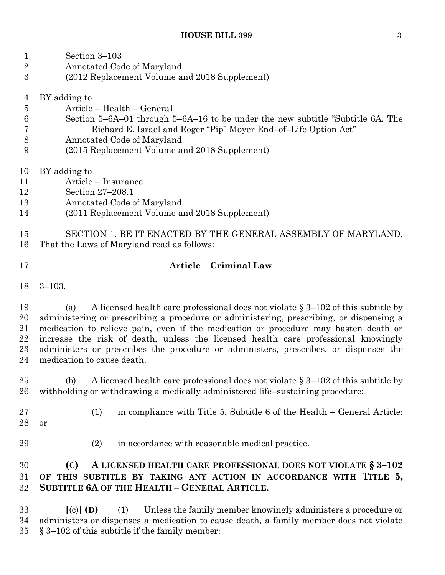Section 3–103

Annotated Code of Maryland

| 3                                               | (2012 Replacement Volume and 2018 Supplement)                                                                                                                                                                                                                                                                                                                                                                                                                                            |  |  |
|-------------------------------------------------|------------------------------------------------------------------------------------------------------------------------------------------------------------------------------------------------------------------------------------------------------------------------------------------------------------------------------------------------------------------------------------------------------------------------------------------------------------------------------------------|--|--|
| 4<br>$\overline{5}$<br>$\,6$<br>7<br>$8\,$<br>9 | BY adding to<br>Article – Health – General<br>Section 5–6A–01 through 5–6A–16 to be under the new subtitle "Subtitle 6A. The<br>Richard E. Israel and Roger "Pip" Moyer End-of-Life Option Act"<br>Annotated Code of Maryland<br>(2015 Replacement Volume and 2018 Supplement)                                                                                                                                                                                                           |  |  |
| 10<br>11<br>12<br>13<br>14<br>15                | BY adding to<br>Article - Insurance<br>Section 27-208.1<br>Annotated Code of Maryland<br>(2011 Replacement Volume and 2018 Supplement)<br>SECTION 1. BE IT ENACTED BY THE GENERAL ASSEMBLY OF MARYLAND,                                                                                                                                                                                                                                                                                  |  |  |
| 16                                              | That the Laws of Maryland read as follows:                                                                                                                                                                                                                                                                                                                                                                                                                                               |  |  |
| 17                                              | Article - Criminal Law                                                                                                                                                                                                                                                                                                                                                                                                                                                                   |  |  |
| 18                                              | $3 - 103.$                                                                                                                                                                                                                                                                                                                                                                                                                                                                               |  |  |
| 19<br>20<br>21<br>22<br>23<br>24                | A licensed health care professional does not violate $\S 3-102$ of this subtitle by<br>(a)<br>administering or prescribing a procedure or administering, prescribing, or dispensing a<br>medication to relieve pain, even if the medication or procedure may hasten death or<br>increase the risk of death, unless the licensed health care professional knowingly<br>administers or prescribes the procedure or administers, prescribes, or dispenses the<br>medication to cause death. |  |  |
| 25<br>26                                        | A licensed health care professional does not violate $\S 3-102$ of this subtitle by<br>(b)<br>with holding or withdrawing a medically administered life-sustaining procedure:                                                                                                                                                                                                                                                                                                            |  |  |
| 27<br>28                                        | in compliance with Title 5, Subtitle 6 of the Health – General Article;<br>(1)<br>or                                                                                                                                                                                                                                                                                                                                                                                                     |  |  |
| 29                                              | (2)<br>in accordance with reasonable medical practice.                                                                                                                                                                                                                                                                                                                                                                                                                                   |  |  |
| 30<br>31<br>32                                  | A LICENSED HEALTH CARE PROFESSIONAL DOES NOT VIOLATE § 3-102<br>(C)<br>THIS SUBTITLE BY TAKING ANY ACTION IN ACCORDANCE WITH TITLE 5,<br>OF<br><b>SUBTITLE 6A OF THE HEALTH - GENERAL ARTICLE.</b>                                                                                                                                                                                                                                                                                       |  |  |
| 33                                              | $\left[\text{(c)}\right]$ (D)<br>Unless the family member knowingly administers a procedure or<br>(1)                                                                                                                                                                                                                                                                                                                                                                                    |  |  |

 administers or dispenses a medication to cause death, a family member does not violate § 3–102 of this subtitle if the family member: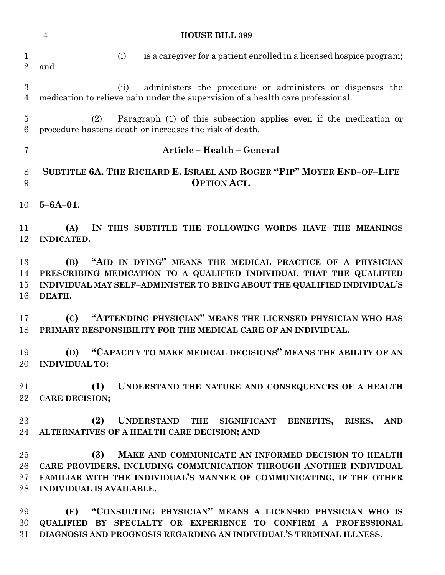|                                   | <b>HOUSE BILL 399</b><br>$\overline{4}$                                                                                                                                                                                                     |
|-----------------------------------|---------------------------------------------------------------------------------------------------------------------------------------------------------------------------------------------------------------------------------------------|
| $\mathbf{1}$<br>$\overline{2}$    | is a caregiver for a patient enrolled in a licensed hospice program;<br>(i)<br>and                                                                                                                                                          |
| $\overline{3}$<br>$\overline{4}$  | administers the procedure or administers or dispenses the<br>(ii)<br>medication to relieve pain under the supervision of a health care professional.                                                                                        |
| $\overline{5}$<br>$6\phantom{.}6$ | Paragraph (1) of this subsection applies even if the medication or<br>(2)<br>procedure hastens death or increases the risk of death.                                                                                                        |
| $\overline{7}$                    | Article - Health - General                                                                                                                                                                                                                  |
| $8\,$<br>9                        | SUBTITLE 6A. THE RICHARD E. ISRAEL AND ROGER "PIP" MOYER END-OF-LIFE<br><b>OPTION ACT.</b>                                                                                                                                                  |
| 10                                | $5 - 6A - 01$ .                                                                                                                                                                                                                             |
| 11<br>12                          | (A)<br>IN THIS SUBTITLE THE FOLLOWING WORDS HAVE THE MEANINGS<br><b>INDICATED.</b>                                                                                                                                                          |
| 13<br>14<br>15<br>16              | "AID IN DYING" MEANS THE MEDICAL PRACTICE OF A PHYSICIAN<br>(B)<br>PRESCRIBING MEDICATION TO A QUALIFIED INDIVIDUAL THAT THE QUALIFIED<br>INDIVIDUAL MAY SELF-ADMINISTER TO BRING ABOUT THE QUALIFIED INDIVIDUAL'S<br>DEATH.                |
| 17<br>18                          | "ATTENDING PHYSICIAN" MEANS THE LICENSED PHYSICIAN WHO HAS<br>(C)<br>PRIMARY RESPONSIBILITY FOR THE MEDICAL CARE OF AN INDIVIDUAL.                                                                                                          |
| 19                                | "CAPACITY TO MAKE MEDICAL DECISIONS" MEANS THE ABILITY OF AN<br>(D)<br>20 INDIVIDUAL TO:                                                                                                                                                    |
| 21<br>22                          | (1)<br>UNDERSTAND THE NATURE AND CONSEQUENCES OF A HEALTH<br><b>CARE DECISION;</b>                                                                                                                                                          |
| 23<br>24                          | UNDERSTAND THE SIGNIFICANT BENEFITS, RISKS, AND<br>(2)<br>ALTERNATIVES OF A HEALTH CARE DECISION; AND                                                                                                                                       |
| 25<br>26<br>$27\,$<br>28          | (3)<br>MAKE AND COMMUNICATE AN INFORMED DECISION TO HEALTH<br>CARE PROVIDERS, INCLUDING COMMUNICATION THROUGH ANOTHER INDIVIDUAL<br>FAMILIAR WITH THE INDIVIDUAL'S MANNER OF COMMUNICATING, IF THE OTHER<br><b>INDIVIDUAL IS AVAILABLE.</b> |
| 29<br>30<br>31                    | (E) "CONSULTING PHYSICIAN" MEANS A LICENSED PHYSICIAN WHO IS<br>QUALIFIED BY SPECIALTY OR EXPERIENCE TO CONFIRM A PROFESSIONAL<br>DIAGNOSIS AND PROGNOSIS REGARDING AN INDIVIDUAL'S TERMINAL ILLNESS.                                       |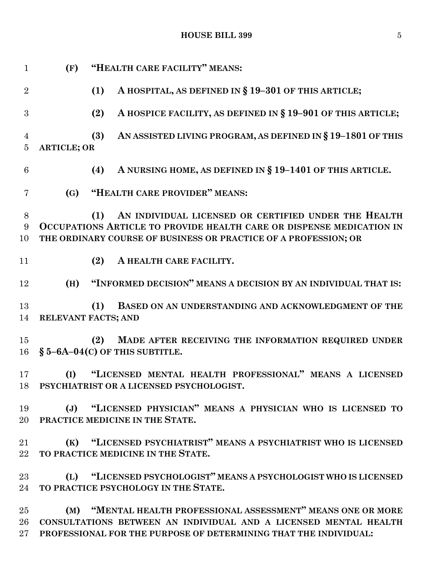**HOUSE BILL 399** 5

| $\mathbf{1}$                     | (F)                | "HEALTH CARE FACILITY" MEANS:                                                                                                                                                                          |
|----------------------------------|--------------------|--------------------------------------------------------------------------------------------------------------------------------------------------------------------------------------------------------|
| $\overline{2}$                   |                    | (1)<br>A HOSPITAL, AS DEFINED IN § 19-301 OF THIS ARTICLE;                                                                                                                                             |
| 3                                |                    | A HOSPICE FACILITY, AS DEFINED IN § 19-901 OF THIS ARTICLE;<br>(2)                                                                                                                                     |
| $\overline{4}$<br>$\overline{5}$ | <b>ARTICLE; OR</b> | AN ASSISTED LIVING PROGRAM, AS DEFINED IN § 19-1801 OF THIS<br>(3)                                                                                                                                     |
| 6                                |                    | A NURSING HOME, AS DEFINED IN § 19-1401 OF THIS ARTICLE.<br>(4)                                                                                                                                        |
| 7                                | (G)                | "HEALTH CARE PROVIDER" MEANS:                                                                                                                                                                          |
| 8<br>9<br>10                     |                    | AN INDIVIDUAL LICENSED OR CERTIFIED UNDER THE HEALTH<br>(1)<br>OCCUPATIONS ARTICLE TO PROVIDE HEALTH CARE OR DISPENSE MEDICATION IN<br>THE ORDINARY COURSE OF BUSINESS OR PRACTICE OF A PROFESSION; OR |
| 11                               |                    | (2)<br>A HEALTH CARE FACILITY.                                                                                                                                                                         |
| 12                               | (H)                | "INFORMED DECISION" MEANS A DECISION BY AN INDIVIDUAL THAT IS:                                                                                                                                         |
| 13<br>14                         |                    | BASED ON AN UNDERSTANDING AND ACKNOWLEDGMENT OF THE<br>(1)<br>RELEVANT FACTS; AND                                                                                                                      |
| 15<br>16                         |                    | MADE AFTER RECEIVING THE INFORMATION REQUIRED UNDER<br>(2)<br>$§ 5 - 6A - 04(C)$ OF THIS SUBTITLE.                                                                                                     |
| 17                               | (I)                | "LICENSED MENTAL HEALTH PROFESSIONAL" MEANS A LICENSED<br>18 PSYCHIATRIST OR A LICENSED PSYCHOLOGIST.                                                                                                  |
| 19                               |                    | (J) "LICENSED PHYSICIAN" MEANS A PHYSICIAN WHO IS LICENSED TO<br>20 PRACTICE MEDICINE IN THE STATE.                                                                                                    |
| $21\,$<br>$22\,$                 |                    | (K) "LICENSED PSYCHIATRIST" MEANS A PSYCHIATRIST WHO IS LICENSED<br>TO PRACTICE MEDICINE IN THE STATE.                                                                                                 |
| $23\,$<br>24                     |                    | (L) "LICENSED PSYCHOLOGIST" MEANS A PSYCHOLOGIST WHO IS LICENSED<br>TO PRACTICE PSYCHOLOGY IN THE STATE.                                                                                               |
| $25\,$<br>26<br>$27\,$           |                    | (M) "MENTAL HEALTH PROFESSIONAL ASSESSMENT" MEANS ONE OR MORE<br>CONSULTATIONS BETWEEN AN INDIVIDUAL AND A LICENSED MENTAL HEALTH<br>PROFESSIONAL FOR THE PURPOSE OF DETERMINING THAT THE INDIVIDUAL:  |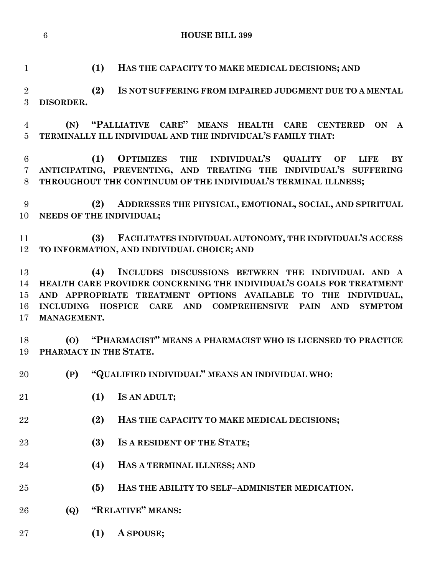| $\mathbf{1}$               | (1)<br>HAS THE CAPACITY TO MAKE MEDICAL DECISIONS; AND                                                                                                                                                                                                                                   |
|----------------------------|------------------------------------------------------------------------------------------------------------------------------------------------------------------------------------------------------------------------------------------------------------------------------------------|
| $\overline{2}$<br>3        | (2)<br>IS NOT SUFFERING FROM IMPAIRED JUDGMENT DUE TO A MENTAL<br>DISORDER.                                                                                                                                                                                                              |
| 4<br>$\overline{5}$        | "PALLIATIVE CARE" MEANS HEALTH CARE CENTERED ON<br>(N)<br>$\mathbf{A}$<br>TERMINALLY ILL INDIVIDUAL AND THE INDIVIDUAL'S FAMILY THAT:                                                                                                                                                    |
| 6<br>7<br>8                | OPTIMIZES THE INDIVIDUAL'S QUALITY OF<br>(1)<br><b>BY</b><br><b>LIFE</b><br>ANTICIPATING, PREVENTING, AND TREATING THE INDIVIDUAL'S SUFFERING<br>THROUGHOUT THE CONTINUUM OF THE INDIVIDUAL'S TERMINAL ILLNESS;                                                                          |
| 9<br>10                    | (2) ADDRESSES THE PHYSICAL, EMOTIONAL, SOCIAL, AND SPIRITUAL<br>NEEDS OF THE INDIVIDUAL;                                                                                                                                                                                                 |
| 11<br>12                   | (3) FACILITATES INDIVIDUAL AUTONOMY, THE INDIVIDUAL'S ACCESS<br>TO INFORMATION, AND INDIVIDUAL CHOICE; AND                                                                                                                                                                               |
| 13<br>14<br>15<br>16<br>17 | INCLUDES DISCUSSIONS BETWEEN THE INDIVIDUAL AND A<br>(4)<br>HEALTH CARE PROVIDER CONCERNING THE INDIVIDUAL'S GOALS FOR TREATMENT<br>AND APPROPRIATE TREATMENT OPTIONS AVAILABLE TO THE INDIVIDUAL,<br>INCLUDING HOSPICE CARE AND COMPREHENSIVE PAIN AND<br><b>SYMPTOM</b><br>MANAGEMENT. |
| 18<br>19                   | (O) "PHARMACIST" MEANS A PHARMACIST WHO IS LICENSED TO PRACTICE<br>PHARMACY IN THE STATE.                                                                                                                                                                                                |
| 20                         | "QUALIFIED INDIVIDUAL" MEANS AN INDIVIDUAL WHO:<br>(P)                                                                                                                                                                                                                                   |
| 21                         | (1)<br>IS AN ADULT;                                                                                                                                                                                                                                                                      |
| 22                         | (2)<br>HAS THE CAPACITY TO MAKE MEDICAL DECISIONS;                                                                                                                                                                                                                                       |
| 23                         | (3)<br>IS A RESIDENT OF THE STATE;                                                                                                                                                                                                                                                       |
| 24                         | (4)<br>HAS A TERMINAL ILLNESS; AND                                                                                                                                                                                                                                                       |
| 25                         | HAS THE ABILITY TO SELF-ADMINISTER MEDICATION.<br>(5)                                                                                                                                                                                                                                    |
| 26                         | "RELATIVE" MEANS:<br><b>(Q)</b>                                                                                                                                                                                                                                                          |
| $27\,$                     | A SPOUSE;<br>(1)                                                                                                                                                                                                                                                                         |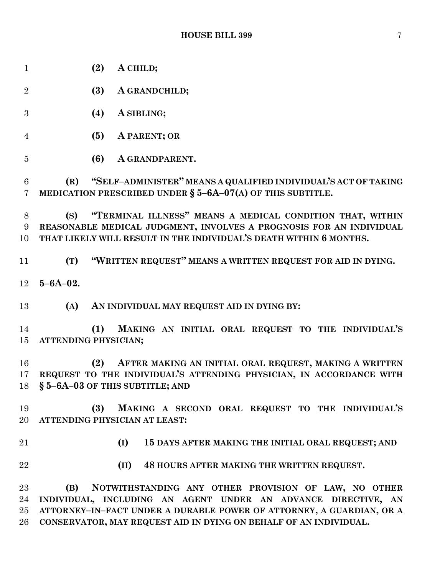| $\mathbf{1}$                      | (2)<br>A CHILD;                                                                                                                                                                                               |
|-----------------------------------|---------------------------------------------------------------------------------------------------------------------------------------------------------------------------------------------------------------|
| $\overline{2}$                    | (3)<br>A GRANDCHILD;                                                                                                                                                                                          |
| 3                                 | (4)<br>A SIBLING;                                                                                                                                                                                             |
| $\overline{4}$                    | (5)<br>A PARENT; OR                                                                                                                                                                                           |
| $\overline{5}$                    | (6)<br>A GRANDPARENT.                                                                                                                                                                                         |
| $6\phantom{.}6$<br>$\overline{7}$ | (R) "SELF-ADMINISTER" MEANS A QUALIFIED INDIVIDUAL'S ACT OF TAKING<br>MEDICATION PRESCRIBED UNDER $\S$ 5-6A-07(A) OF THIS SUBTITLE.                                                                           |
| 8<br>9<br>10                      | "TERMINAL ILLNESS" MEANS A MEDICAL CONDITION THAT, WITHIN<br>(S)<br>REASONABLE MEDICAL JUDGMENT, INVOLVES A PROGNOSIS FOR AN INDIVIDUAL<br>THAT LIKELY WILL RESULT IN THE INDIVIDUAL'S DEATH WITHIN 6 MONTHS. |
| 11                                | "WRITTEN REQUEST" MEANS A WRITTEN REQUEST FOR AID IN DYING.<br>(T)                                                                                                                                            |
| 12                                | $5 - 6A - 02$ .                                                                                                                                                                                               |
| 13                                | AN INDIVIDUAL MAY REQUEST AID IN DYING BY:<br>(A)                                                                                                                                                             |
| 14<br>15                          | MAKING AN INITIAL ORAL REQUEST TO THE INDIVIDUAL'S<br>(1)<br>ATTENDING PHYSICIAN;                                                                                                                             |
| 16<br>17                          | AFTER MAKING AN INITIAL ORAL REQUEST, MAKING A WRITTEN<br>(2)<br>REQUEST TO THE INDIVIDUAL'S ATTENDING PHYSICIAN, IN ACCORDANCE WITH<br>18 § 5-6A-03 OF THIS SUBTITLE; AND                                    |
| 19<br>20                          | (3)<br>MAKING A SECOND ORAL REQUEST TO THE INDIVIDUAL'S<br>ATTENDING PHYSICIAN AT LEAST:                                                                                                                      |
| 21                                | (I)<br>15 DAYS AFTER MAKING THE INITIAL ORAL REQUEST; AND                                                                                                                                                     |
| 22                                | (II)<br>48 HOURS AFTER MAKING THE WRITTEN REQUEST.                                                                                                                                                            |
| 23<br>24<br>25                    | (B)<br>NOTWITHSTANDING ANY OTHER PROVISION OF LAW, NO OTHER<br>INDIVIDUAL, INCLUDING AN AGENT UNDER AN ADVANCE DIRECTIVE, AN<br>ATTORNEY-IN-FACT UNDER A DURABLE POWER OF ATTORNEY, A GUARDIAN, OR A          |
| 26                                | CONSERVATOR, MAY REQUEST AID IN DYING ON BEHALF OF AN INDIVIDUAL.                                                                                                                                             |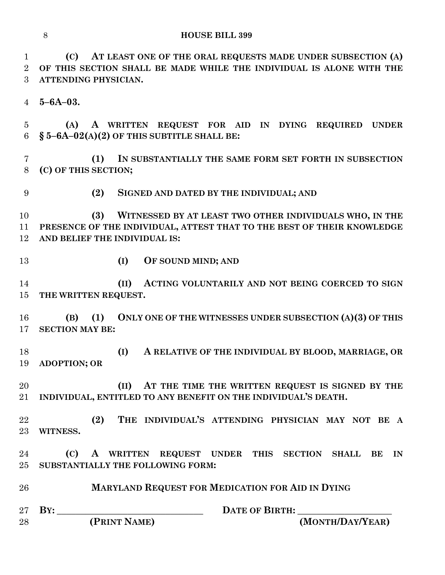**(C) AT LEAST ONE OF THE ORAL REQUESTS MADE UNDER SUBSECTION (A) OF THIS SECTION SHALL BE MADE WHILE THE INDIVIDUAL IS ALONE WITH THE ATTENDING PHYSICIAN.**

**5–6A–03.**

 **(A) A WRITTEN REQUEST FOR AID IN DYING REQUIRED UNDER § 5–6A–02(A)(2) OF THIS SUBTITLE SHALL BE:**

 **(1) IN SUBSTANTIALLY THE SAME FORM SET FORTH IN SUBSECTION (C) OF THIS SECTION;**

**(2) SIGNED AND DATED BY THE INDIVIDUAL; AND**

 **(3) WITNESSED BY AT LEAST TWO OTHER INDIVIDUALS WHO, IN THE PRESENCE OF THE INDIVIDUAL, ATTEST THAT TO THE BEST OF THEIR KNOWLEDGE AND BELIEF THE INDIVIDUAL IS:**

**(I) OF SOUND MIND; AND**

 **(II) ACTING VOLUNTARILY AND NOT BEING COERCED TO SIGN THE WRITTEN REQUEST.**

 **(B) (1) ONLY ONE OF THE WITNESSES UNDER SUBSECTION (A)(3) OF THIS SECTION MAY BE:**

 **(I) A RELATIVE OF THE INDIVIDUAL BY BLOOD, MARRIAGE, OR ADOPTION; OR**

 **(II) AT THE TIME THE WRITTEN REQUEST IS SIGNED BY THE INDIVIDUAL, ENTITLED TO ANY BENEFIT ON THE INDIVIDUAL'S DEATH.**

 **(2) THE INDIVIDUAL'S ATTENDING PHYSICIAN MAY NOT BE A WITNESS.**

 **(C) A WRITTEN REQUEST UNDER THIS SECTION SHALL BE IN SUBSTANTIALLY THE FOLLOWING FORM:**

**MARYLAND REQUEST FOR MEDICATION FOR AID IN DYING**

 **BY: \_\_\_\_\_\_\_\_\_\_\_\_\_\_\_\_\_\_\_\_\_\_\_\_\_\_\_\_\_\_\_ DATE OF BIRTH: \_\_\_\_\_\_\_\_\_\_\_\_\_\_\_\_\_\_\_\_ (PRINT NAME) (MONTH/DAY/YEAR)**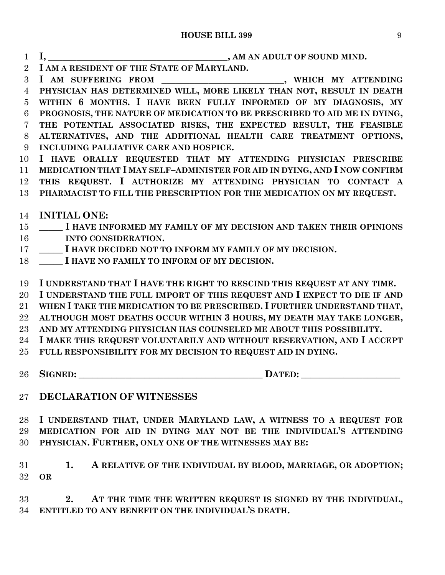- **I, \_\_\_\_\_\_\_\_\_\_\_\_\_\_\_\_\_\_\_\_\_\_\_\_\_\_\_\_\_\_\_\_\_\_\_\_\_\_, AM AN ADULT OF SOUND MIND. I AM A RESIDENT OF THE STATE OF MARYLAND.**
- **I AM SUFFERING FROM \_\_\_\_\_\_\_\_\_\_\_\_\_\_\_\_\_\_\_\_\_\_\_\_\_\_, WHICH MY ATTENDING**

 **PHYSICIAN HAS DETERMINED WILL, MORE LIKELY THAN NOT, RESULT IN DEATH WITHIN 6 MONTHS. I HAVE BEEN FULLY INFORMED OF MY DIAGNOSIS, MY PROGNOSIS, THE NATURE OF MEDICATION TO BE PRESCRIBED TO AID ME IN DYING, THE POTENTIAL ASSOCIATED RISKS, THE EXPECTED RESULT, THE FEASIBLE ALTERNATIVES, AND THE ADDITIONAL HEALTH CARE TREATMENT OPTIONS,**

- **INCLUDING PALLIATIVE CARE AND HOSPICE.**
- **I HAVE ORALLY REQUESTED THAT MY ATTENDING PHYSICIAN PRESCRIBE MEDICATION THAT I MAY SELF–ADMINISTER FOR AID IN DYING, AND I NOW CONFIRM**
- **THIS REQUEST. I AUTHORIZE MY ATTENDING PHYSICIAN TO CONTACT A**
- **PHARMACIST TO FILL THE PRESCRIPTION FOR THE MEDICATION ON MY REQUEST.**
- **INITIAL ONE:**
- **\_\_\_\_\_ I HAVE INFORMED MY FAMILY OF MY DECISION AND TAKEN THEIR OPINIONS INTO CONSIDERATION.**
- **\_\_\_\_\_ I HAVE DECIDED NOT TO INFORM MY FAMILY OF MY DECISION.**
- **\_\_\_\_\_ I HAVE NO FAMILY TO INFORM OF MY DECISION.**

**I UNDERSTAND THAT I HAVE THE RIGHT TO RESCIND THIS REQUEST AT ANY TIME.**

**I UNDERSTAND THE FULL IMPORT OF THIS REQUEST AND I EXPECT TO DIE IF AND**

**WHEN I TAKE THE MEDICATION TO BE PRESCRIBED. I FURTHER UNDERSTAND THAT,**

**ALTHOUGH MOST DEATHS OCCUR WITHIN 3 HOURS, MY DEATH MAY TAKE LONGER,**

**AND MY ATTENDING PHYSICIAN HAS COUNSELED ME ABOUT THIS POSSIBILITY.**

- **I MAKE THIS REQUEST VOLUNTARILY AND WITHOUT RESERVATION, AND I ACCEPT**
- **FULL RESPONSIBILITY FOR MY DECISION TO REQUEST AID IN DYING.**
- **SIGNED: \_\_\_\_\_\_\_\_\_\_\_\_\_\_\_\_\_\_\_\_\_\_\_\_\_\_\_\_\_\_\_\_\_\_\_\_\_\_\_ DATED: \_\_\_\_\_\_\_\_\_\_\_\_\_\_\_\_\_\_\_\_\_**

**DECLARATION OF WITNESSES**

 **I UNDERSTAND THAT, UNDER MARYLAND LAW, A WITNESS TO A REQUEST FOR MEDICATION FOR AID IN DYING MAY NOT BE THE INDIVIDUAL'S ATTENDING PHYSICIAN. FURTHER, ONLY ONE OF THE WITNESSES MAY BE:**

 **1. A RELATIVE OF THE INDIVIDUAL BY BLOOD, MARRIAGE, OR ADOPTION; OR**

 **2. AT THE TIME THE WRITTEN REQUEST IS SIGNED BY THE INDIVIDUAL, ENTITLED TO ANY BENEFIT ON THE INDIVIDUAL'S DEATH.**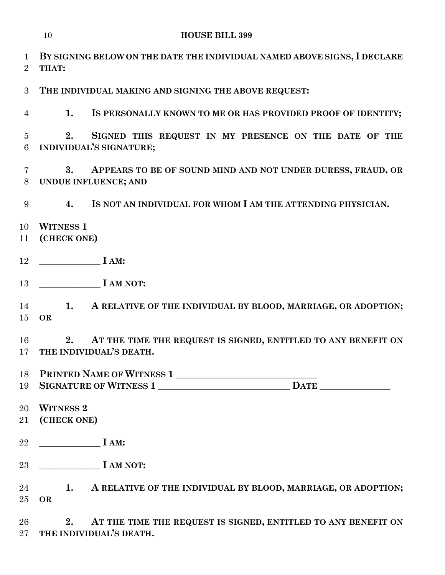**BY SIGNING BELOW ON THE DATE THE INDIVIDUAL NAMED ABOVE SIGNS, I DECLARE THAT: THE INDIVIDUAL MAKING AND SIGNING THE ABOVE REQUEST: 1. IS PERSONALLY KNOWN TO ME OR HAS PROVIDED PROOF OF IDENTITY; 2. SIGNED THIS REQUEST IN MY PRESENCE ON THE DATE OF THE INDIVIDUAL'S SIGNATURE; 3. APPEARS TO BE OF SOUND MIND AND NOT UNDER DURESS, FRAUD, OR UNDUE INFLUENCE; AND**

**4. IS NOT AN INDIVIDUAL FOR WHOM I AM THE ATTENDING PHYSICIAN.**

- **WITNESS 1**
- **(CHECK ONE)**
- **\_\_\_\_\_\_\_\_\_\_\_\_\_ I AM:**
- **\_\_\_\_\_\_\_\_\_\_\_\_\_ I AM NOT:**
- **1. A RELATIVE OF THE INDIVIDUAL BY BLOOD, MARRIAGE, OR ADOPTION; OR**

 **2. AT THE TIME THE REQUEST IS SIGNED, ENTITLED TO ANY BENEFIT ON THE INDIVIDUAL'S DEATH.**

**PRINTED NAME OF WITNESS 1 \_\_\_\_\_\_\_\_\_\_\_\_\_\_\_\_\_\_\_\_\_\_\_\_\_\_\_\_\_\_**

- **SIGNATURE OF WITNESS 1 \_\_\_\_\_\_\_\_\_\_\_\_\_\_\_\_\_\_\_\_\_\_\_\_\_\_\_\_ DATE \_\_\_\_\_\_\_\_\_\_\_\_\_\_\_**
- **WITNESS 2**
- **(CHECK ONE)**
- **\_\_\_\_\_\_\_\_\_\_\_\_\_ I AM:**
- **\_\_\_\_\_\_\_\_\_\_\_\_\_ I AM NOT:**

 **1. A RELATIVE OF THE INDIVIDUAL BY BLOOD, MARRIAGE, OR ADOPTION; OR**

 **2. AT THE TIME THE REQUEST IS SIGNED, ENTITLED TO ANY BENEFIT ON THE INDIVIDUAL'S DEATH.**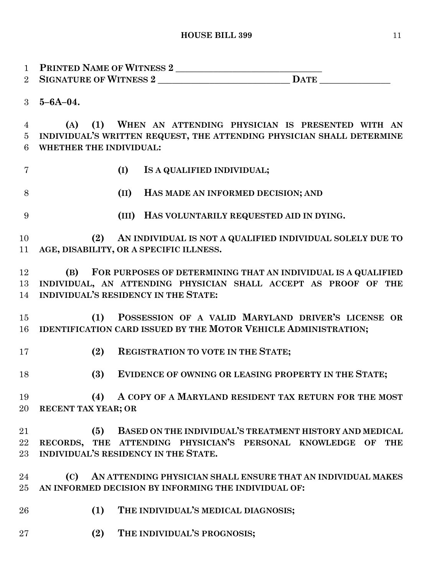**PRINTED NAME OF WITNESS 2 \_\_\_\_\_\_\_\_\_\_\_\_\_\_\_\_\_\_\_\_\_\_\_\_\_\_\_\_\_\_\_ SIGNATURE OF WITNESS 2 \_\_\_\_\_\_\_\_\_\_\_\_\_\_\_\_\_\_\_\_\_\_\_\_\_\_\_\_ DATE \_\_\_\_\_\_\_\_\_\_\_\_\_\_\_ 5–6A–04. (A) (1) WHEN AN ATTENDING PHYSICIAN IS PRESENTED WITH AN INDIVIDUAL'S WRITTEN REQUEST, THE ATTENDING PHYSICIAN SHALL DETERMINE WHETHER THE INDIVIDUAL: (I) IS A QUALIFIED INDIVIDUAL; (II) HAS MADE AN INFORMED DECISION; AND (III) HAS VOLUNTARILY REQUESTED AID IN DYING. (2) AN INDIVIDUAL IS NOT A QUALIFIED INDIVIDUAL SOLELY DUE TO AGE, DISABILITY, OR A SPECIFIC ILLNESS. (B) FOR PURPOSES OF DETERMINING THAT AN INDIVIDUAL IS A QUALIFIED INDIVIDUAL, AN ATTENDING PHYSICIAN SHALL ACCEPT AS PROOF OF THE INDIVIDUAL'S RESIDENCY IN THE STATE: (1) POSSESSION OF A VALID MARYLAND DRIVER'S LICENSE OR IDENTIFICATION CARD ISSUED BY THE MOTOR VEHICLE ADMINISTRATION; (2) REGISTRATION TO VOTE IN THE STATE; (3) EVIDENCE OF OWNING OR LEASING PROPERTY IN THE STATE; (4) A COPY OF A MARYLAND RESIDENT TAX RETURN FOR THE MOST RECENT TAX YEAR; OR (5) BASED ON THE INDIVIDUAL'S TREATMENT HISTORY AND MEDICAL RECORDS, THE ATTENDING PHYSICIAN'S PERSONAL KNOWLEDGE OF THE INDIVIDUAL'S RESIDENCY IN THE STATE. (C) AN ATTENDING PHYSICIAN SHALL ENSURE THAT AN INDIVIDUAL MAKES AN INFORMED DECISION BY INFORMING THE INDIVIDUAL OF: (1) THE INDIVIDUAL'S MEDICAL DIAGNOSIS; (2) THE INDIVIDUAL'S PROGNOSIS;**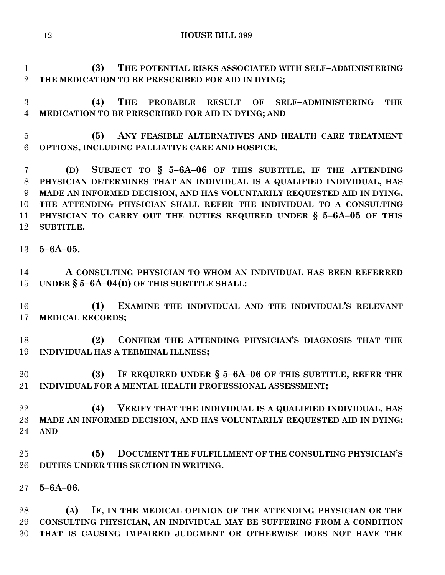**(3) THE POTENTIAL RISKS ASSOCIATED WITH SELF–ADMINISTERING THE MEDICATION TO BE PRESCRIBED FOR AID IN DYING;**

 **(4) THE PROBABLE RESULT OF SELF–ADMINISTERING THE MEDICATION TO BE PRESCRIBED FOR AID IN DYING; AND**

 **(5) ANY FEASIBLE ALTERNATIVES AND HEALTH CARE TREATMENT OPTIONS, INCLUDING PALLIATIVE CARE AND HOSPICE.**

 **(D) SUBJECT TO § 5–6A–06 OF THIS SUBTITLE, IF THE ATTENDING PHYSICIAN DETERMINES THAT AN INDIVIDUAL IS A QUALIFIED INDIVIDUAL, HAS MADE AN INFORMED DECISION, AND HAS VOLUNTARILY REQUESTED AID IN DYING, THE ATTENDING PHYSICIAN SHALL REFER THE INDIVIDUAL TO A CONSULTING PHYSICIAN TO CARRY OUT THE DUTIES REQUIRED UNDER § 5–6A–05 OF THIS SUBTITLE.**

**5–6A–05.**

 **A CONSULTING PHYSICIAN TO WHOM AN INDIVIDUAL HAS BEEN REFERRED UNDER § 5–6A–04(D) OF THIS SUBTITLE SHALL:**

 **(1) EXAMINE THE INDIVIDUAL AND THE INDIVIDUAL'S RELEVANT MEDICAL RECORDS;**

 **(2) CONFIRM THE ATTENDING PHYSICIAN'S DIAGNOSIS THAT THE INDIVIDUAL HAS A TERMINAL ILLNESS;**

 **(3) IF REQUIRED UNDER § 5–6A–06 OF THIS SUBTITLE, REFER THE INDIVIDUAL FOR A MENTAL HEALTH PROFESSIONAL ASSESSMENT;**

 **(4) VERIFY THAT THE INDIVIDUAL IS A QUALIFIED INDIVIDUAL, HAS MADE AN INFORMED DECISION, AND HAS VOLUNTARILY REQUESTED AID IN DYING; AND**

 **(5) DOCUMENT THE FULFILLMENT OF THE CONSULTING PHYSICIAN'S DUTIES UNDER THIS SECTION IN WRITING.**

**5–6A–06.**

 **(A) IF, IN THE MEDICAL OPINION OF THE ATTENDING PHYSICIAN OR THE CONSULTING PHYSICIAN, AN INDIVIDUAL MAY BE SUFFERING FROM A CONDITION THAT IS CAUSING IMPAIRED JUDGMENT OR OTHERWISE DOES NOT HAVE THE**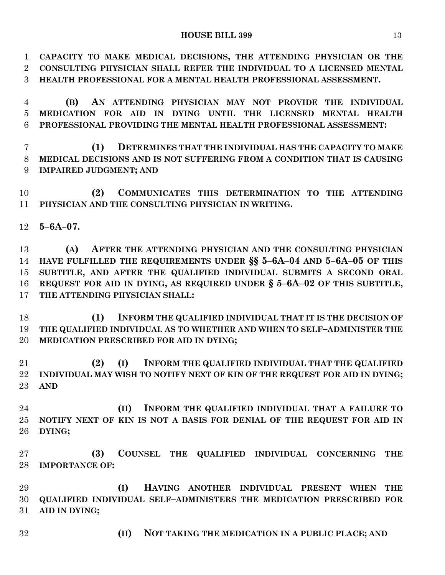## **HOUSE BILL 399** 13

 **CAPACITY TO MAKE MEDICAL DECISIONS, THE ATTENDING PHYSICIAN OR THE CONSULTING PHYSICIAN SHALL REFER THE INDIVIDUAL TO A LICENSED MENTAL HEALTH PROFESSIONAL FOR A MENTAL HEALTH PROFESSIONAL ASSESSMENT.**

 **(B) AN ATTENDING PHYSICIAN MAY NOT PROVIDE THE INDIVIDUAL MEDICATION FOR AID IN DYING UNTIL THE LICENSED MENTAL HEALTH PROFESSIONAL PROVIDING THE MENTAL HEALTH PROFESSIONAL ASSESSMENT:**

 **(1) DETERMINES THAT THE INDIVIDUAL HAS THE CAPACITY TO MAKE MEDICAL DECISIONS AND IS NOT SUFFERING FROM A CONDITION THAT IS CAUSING IMPAIRED JUDGMENT; AND**

 **(2) COMMUNICATES THIS DETERMINATION TO THE ATTENDING PHYSICIAN AND THE CONSULTING PHYSICIAN IN WRITING.**

**5–6A–07.**

 **(A) AFTER THE ATTENDING PHYSICIAN AND THE CONSULTING PHYSICIAN HAVE FULFILLED THE REQUIREMENTS UNDER §§ 5–6A–04 AND 5–6A–05 OF THIS SUBTITLE, AND AFTER THE QUALIFIED INDIVIDUAL SUBMITS A SECOND ORAL REQUEST FOR AID IN DYING, AS REQUIRED UNDER § 5–6A–02 OF THIS SUBTITLE, THE ATTENDING PHYSICIAN SHALL:**

 **(1) INFORM THE QUALIFIED INDIVIDUAL THAT IT IS THE DECISION OF THE QUALIFIED INDIVIDUAL AS TO WHETHER AND WHEN TO SELF–ADMINISTER THE MEDICATION PRESCRIBED FOR AID IN DYING;**

 **(2) (I) INFORM THE QUALIFIED INDIVIDUAL THAT THE QUALIFIED INDIVIDUAL MAY WISH TO NOTIFY NEXT OF KIN OF THE REQUEST FOR AID IN DYING; AND**

 **(II) INFORM THE QUALIFIED INDIVIDUAL THAT A FAILURE TO NOTIFY NEXT OF KIN IS NOT A BASIS FOR DENIAL OF THE REQUEST FOR AID IN DYING;**

 **(3) COUNSEL THE QUALIFIED INDIVIDUAL CONCERNING THE IMPORTANCE OF:**

 **(I) HAVING ANOTHER INDIVIDUAL PRESENT WHEN THE QUALIFIED INDIVIDUAL SELF–ADMINISTERS THE MEDICATION PRESCRIBED FOR AID IN DYING;**

**(II) NOT TAKING THE MEDICATION IN A PUBLIC PLACE; AND**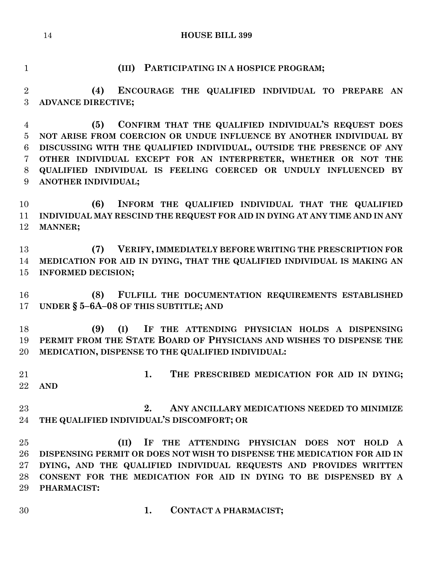## **(III) PARTICIPATING IN A HOSPICE PROGRAM;**

 **(4) ENCOURAGE THE QUALIFIED INDIVIDUAL TO PREPARE AN ADVANCE DIRECTIVE;**

 **(5) CONFIRM THAT THE QUALIFIED INDIVIDUAL'S REQUEST DOES NOT ARISE FROM COERCION OR UNDUE INFLUENCE BY ANOTHER INDIVIDUAL BY DISCUSSING WITH THE QUALIFIED INDIVIDUAL, OUTSIDE THE PRESENCE OF ANY OTHER INDIVIDUAL EXCEPT FOR AN INTERPRETER, WHETHER OR NOT THE QUALIFIED INDIVIDUAL IS FEELING COERCED OR UNDULY INFLUENCED BY ANOTHER INDIVIDUAL;**

 **(6) INFORM THE QUALIFIED INDIVIDUAL THAT THE QUALIFIED INDIVIDUAL MAY RESCIND THE REQUEST FOR AID IN DYING AT ANY TIME AND IN ANY MANNER;**

 **(7) VERIFY, IMMEDIATELY BEFORE WRITING THE PRESCRIPTION FOR MEDICATION FOR AID IN DYING, THAT THE QUALIFIED INDIVIDUAL IS MAKING AN INFORMED DECISION;**

 **(8) FULFILL THE DOCUMENTATION REQUIREMENTS ESTABLISHED UNDER § 5–6A–08 OF THIS SUBTITLE; AND**

 **(9) (I) IF THE ATTENDING PHYSICIAN HOLDS A DISPENSING PERMIT FROM THE STATE BOARD OF PHYSICIANS AND WISHES TO DISPENSE THE MEDICATION, DISPENSE TO THE QUALIFIED INDIVIDUAL:**

 **1. THE PRESCRIBED MEDICATION FOR AID IN DYING; AND**

 **2. ANY ANCILLARY MEDICATIONS NEEDED TO MINIMIZE THE QUALIFIED INDIVIDUAL'S DISCOMFORT; OR**

 **(II) IF THE ATTENDING PHYSICIAN DOES NOT HOLD A DISPENSING PERMIT OR DOES NOT WISH TO DISPENSE THE MEDICATION FOR AID IN DYING, AND THE QUALIFIED INDIVIDUAL REQUESTS AND PROVIDES WRITTEN CONSENT FOR THE MEDICATION FOR AID IN DYING TO BE DISPENSED BY A PHARMACIST:**

**1. CONTACT A PHARMACIST;**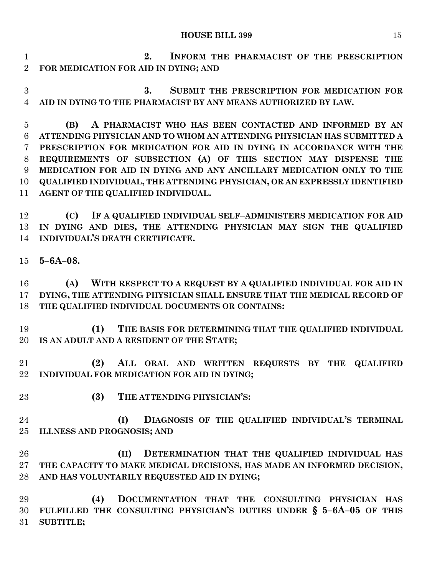**2. INFORM THE PHARMACIST OF THE PRESCRIPTION FOR MEDICATION FOR AID IN DYING; AND**

 **3. SUBMIT THE PRESCRIPTION FOR MEDICATION FOR AID IN DYING TO THE PHARMACIST BY ANY MEANS AUTHORIZED BY LAW.**

 **(B) A PHARMACIST WHO HAS BEEN CONTACTED AND INFORMED BY AN ATTENDING PHYSICIAN AND TO WHOM AN ATTENDING PHYSICIAN HAS SUBMITTED A PRESCRIPTION FOR MEDICATION FOR AID IN DYING IN ACCORDANCE WITH THE REQUIREMENTS OF SUBSECTION (A) OF THIS SECTION MAY DISPENSE THE MEDICATION FOR AID IN DYING AND ANY ANCILLARY MEDICATION ONLY TO THE QUALIFIED INDIVIDUAL, THE ATTENDING PHYSICIAN, OR AN EXPRESSLY IDENTIFIED AGENT OF THE QUALIFIED INDIVIDUAL.**

 **(C) IF A QUALIFIED INDIVIDUAL SELF–ADMINISTERS MEDICATION FOR AID IN DYING AND DIES, THE ATTENDING PHYSICIAN MAY SIGN THE QUALIFIED INDIVIDUAL'S DEATH CERTIFICATE.**

**5–6A–08.**

 **(A) WITH RESPECT TO A REQUEST BY A QUALIFIED INDIVIDUAL FOR AID IN DYING, THE ATTENDING PHYSICIAN SHALL ENSURE THAT THE MEDICAL RECORD OF THE QUALIFIED INDIVIDUAL DOCUMENTS OR CONTAINS:**

 **(1) THE BASIS FOR DETERMINING THAT THE QUALIFIED INDIVIDUAL IS AN ADULT AND A RESIDENT OF THE STATE;**

 **(2) ALL ORAL AND WRITTEN REQUESTS BY THE QUALIFIED INDIVIDUAL FOR MEDICATION FOR AID IN DYING;**

- 
- **(3) THE ATTENDING PHYSICIAN'S:**

 **(I) DIAGNOSIS OF THE QUALIFIED INDIVIDUAL'S TERMINAL ILLNESS AND PROGNOSIS; AND**

 **(II) DETERMINATION THAT THE QUALIFIED INDIVIDUAL HAS THE CAPACITY TO MAKE MEDICAL DECISIONS, HAS MADE AN INFORMED DECISION, AND HAS VOLUNTARILY REQUESTED AID IN DYING;**

 **(4) DOCUMENTATION THAT THE CONSULTING PHYSICIAN HAS FULFILLED THE CONSULTING PHYSICIAN'S DUTIES UNDER § 5–6A–05 OF THIS SUBTITLE;**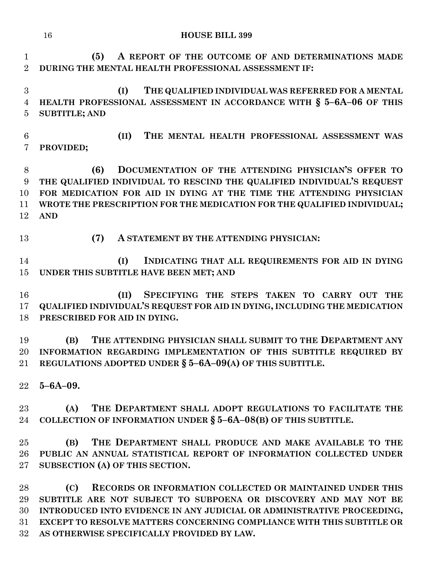**(5) A REPORT OF THE OUTCOME OF AND DETERMINATIONS MADE DURING THE MENTAL HEALTH PROFESSIONAL ASSESSMENT IF: (I) THE QUALIFIED INDIVIDUAL WAS REFERRED FOR A MENTAL HEALTH PROFESSIONAL ASSESSMENT IN ACCORDANCE WITH § 5–6A–06 OF THIS SUBTITLE; AND (II) THE MENTAL HEALTH PROFESSIONAL ASSESSMENT WAS PROVIDED; (6) DOCUMENTATION OF THE ATTENDING PHYSICIAN'S OFFER TO THE QUALIFIED INDIVIDUAL TO RESCIND THE QUALIFIED INDIVIDUAL'S REQUEST FOR MEDICATION FOR AID IN DYING AT THE TIME THE ATTENDING PHYSICIAN WROTE THE PRESCRIPTION FOR THE MEDICATION FOR THE QUALIFIED INDIVIDUAL; AND (7) A STATEMENT BY THE ATTENDING PHYSICIAN: (I) INDICATING THAT ALL REQUIREMENTS FOR AID IN DYING UNDER THIS SUBTITLE HAVE BEEN MET; AND (II) SPECIFYING THE STEPS TAKEN TO CARRY OUT THE QUALIFIED INDIVIDUAL'S REQUEST FOR AID IN DYING, INCLUDING THE MEDICATION PRESCRIBED FOR AID IN DYING. (B) THE ATTENDING PHYSICIAN SHALL SUBMIT TO THE DEPARTMENT ANY INFORMATION REGARDING IMPLEMENTATION OF THIS SUBTITLE REQUIRED BY REGULATIONS ADOPTED UNDER § 5–6A–09(A) OF THIS SUBTITLE. 5–6A–09. (A) THE DEPARTMENT SHALL ADOPT REGULATIONS TO FACILITATE THE COLLECTION OF INFORMATION UNDER § 5–6A–08(B) OF THIS SUBTITLE. (B) THE DEPARTMENT SHALL PRODUCE AND MAKE AVAILABLE TO THE PUBLIC AN ANNUAL STATISTICAL REPORT OF INFORMATION COLLECTED UNDER SUBSECTION (A) OF THIS SECTION.**

 **(C) RECORDS OR INFORMATION COLLECTED OR MAINTAINED UNDER THIS SUBTITLE ARE NOT SUBJECT TO SUBPOENA OR DISCOVERY AND MAY NOT BE INTRODUCED INTO EVIDENCE IN ANY JUDICIAL OR ADMINISTRATIVE PROCEEDING, EXCEPT TO RESOLVE MATTERS CONCERNING COMPLIANCE WITH THIS SUBTITLE OR AS OTHERWISE SPECIFICALLY PROVIDED BY LAW.**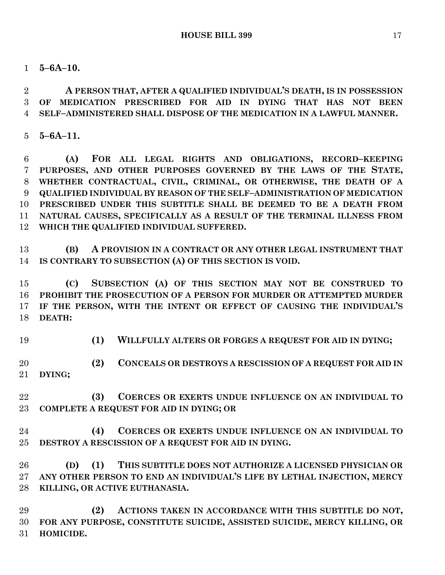**5–6A–10.**

 **A PERSON THAT, AFTER A QUALIFIED INDIVIDUAL'S DEATH, IS IN POSSESSION OF MEDICATION PRESCRIBED FOR AID IN DYING THAT HAS NOT BEEN SELF–ADMINISTERED SHALL DISPOSE OF THE MEDICATION IN A LAWFUL MANNER.**

**5–6A–11.**

 **(A) FOR ALL LEGAL RIGHTS AND OBLIGATIONS, RECORD–KEEPING PURPOSES, AND OTHER PURPOSES GOVERNED BY THE LAWS OF THE STATE, WHETHER CONTRACTUAL, CIVIL, CRIMINAL, OR OTHERWISE, THE DEATH OF A QUALIFIED INDIVIDUAL BY REASON OF THE SELF–ADMINISTRATION OF MEDICATION PRESCRIBED UNDER THIS SUBTITLE SHALL BE DEEMED TO BE A DEATH FROM NATURAL CAUSES, SPECIFICALLY AS A RESULT OF THE TERMINAL ILLNESS FROM WHICH THE QUALIFIED INDIVIDUAL SUFFERED.**

 **(B) A PROVISION IN A CONTRACT OR ANY OTHER LEGAL INSTRUMENT THAT IS CONTRARY TO SUBSECTION (A) OF THIS SECTION IS VOID.**

 **(C) SUBSECTION (A) OF THIS SECTION MAY NOT BE CONSTRUED TO PROHIBIT THE PROSECUTION OF A PERSON FOR MURDER OR ATTEMPTED MURDER IF THE PERSON, WITH THE INTENT OR EFFECT OF CAUSING THE INDIVIDUAL'S DEATH:**

**(1) WILLFULLY ALTERS OR FORGES A REQUEST FOR AID IN DYING;**

 **(2) CONCEALS OR DESTROYS A RESCISSION OF A REQUEST FOR AID IN DYING;**

 **(3) COERCES OR EXERTS UNDUE INFLUENCE ON AN INDIVIDUAL TO COMPLETE A REQUEST FOR AID IN DYING; OR**

 **(4) COERCES OR EXERTS UNDUE INFLUENCE ON AN INDIVIDUAL TO DESTROY A RESCISSION OF A REQUEST FOR AID IN DYING.**

 **(D) (1) THIS SUBTITLE DOES NOT AUTHORIZE A LICENSED PHYSICIAN OR ANY OTHER PERSON TO END AN INDIVIDUAL'S LIFE BY LETHAL INJECTION, MERCY KILLING, OR ACTIVE EUTHANASIA.**

 **(2) ACTIONS TAKEN IN ACCORDANCE WITH THIS SUBTITLE DO NOT, FOR ANY PURPOSE, CONSTITUTE SUICIDE, ASSISTED SUICIDE, MERCY KILLING, OR HOMICIDE.**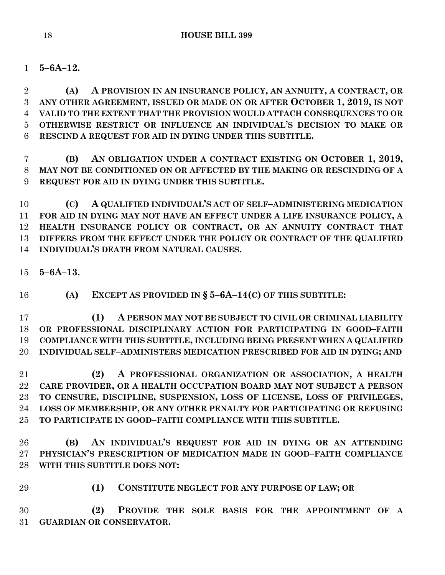**5–6A–12.**

 **(A) A PROVISION IN AN INSURANCE POLICY, AN ANNUITY, A CONTRACT, OR ANY OTHER AGREEMENT, ISSUED OR MADE ON OR AFTER OCTOBER 1, 2019, IS NOT VALID TO THE EXTENT THAT THE PROVISION WOULD ATTACH CONSEQUENCES TO OR OTHERWISE RESTRICT OR INFLUENCE AN INDIVIDUAL'S DECISION TO MAKE OR RESCIND A REQUEST FOR AID IN DYING UNDER THIS SUBTITLE.**

 **(B) AN OBLIGATION UNDER A CONTRACT EXISTING ON OCTOBER 1, 2019, MAY NOT BE CONDITIONED ON OR AFFECTED BY THE MAKING OR RESCINDING OF A REQUEST FOR AID IN DYING UNDER THIS SUBTITLE.**

 **(C) A QUALIFIED INDIVIDUAL'S ACT OF SELF–ADMINISTERING MEDICATION FOR AID IN DYING MAY NOT HAVE AN EFFECT UNDER A LIFE INSURANCE POLICY, A HEALTH INSURANCE POLICY OR CONTRACT, OR AN ANNUITY CONTRACT THAT DIFFERS FROM THE EFFECT UNDER THE POLICY OR CONTRACT OF THE QUALIFIED INDIVIDUAL'S DEATH FROM NATURAL CAUSES.**

**5–6A–13.**

**(A) EXCEPT AS PROVIDED IN § 5–6A–14(C) OF THIS SUBTITLE:**

 **(1) A PERSON MAY NOT BE SUBJECT TO CIVIL OR CRIMINAL LIABILITY OR PROFESSIONAL DISCIPLINARY ACTION FOR PARTICIPATING IN GOOD–FAITH COMPLIANCE WITH THIS SUBTITLE, INCLUDING BEING PRESENT WHEN A QUALIFIED INDIVIDUAL SELF–ADMINISTERS MEDICATION PRESCRIBED FOR AID IN DYING; AND**

 **(2) A PROFESSIONAL ORGANIZATION OR ASSOCIATION, A HEALTH CARE PROVIDER, OR A HEALTH OCCUPATION BOARD MAY NOT SUBJECT A PERSON TO CENSURE, DISCIPLINE, SUSPENSION, LOSS OF LICENSE, LOSS OF PRIVILEGES, LOSS OF MEMBERSHIP, OR ANY OTHER PENALTY FOR PARTICIPATING OR REFUSING TO PARTICIPATE IN GOOD–FAITH COMPLIANCE WITH THIS SUBTITLE.**

 **(B) AN INDIVIDUAL'S REQUEST FOR AID IN DYING OR AN ATTENDING PHYSICIAN'S PRESCRIPTION OF MEDICATION MADE IN GOOD–FAITH COMPLIANCE WITH THIS SUBTITLE DOES NOT:**

- 
- **(1) CONSTITUTE NEGLECT FOR ANY PURPOSE OF LAW; OR**

 **(2) PROVIDE THE SOLE BASIS FOR THE APPOINTMENT OF A GUARDIAN OR CONSERVATOR.**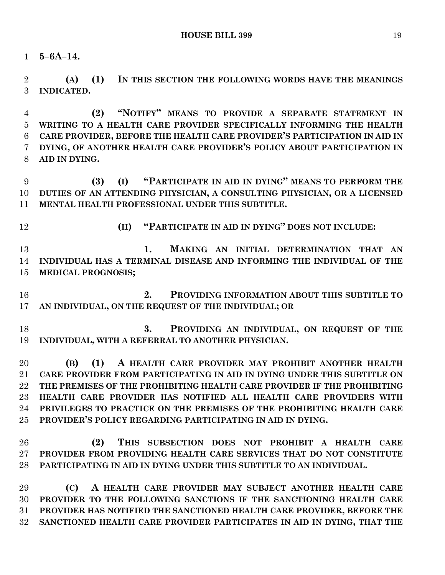**5–6A–14.**

 **(A) (1) IN THIS SECTION THE FOLLOWING WORDS HAVE THE MEANINGS INDICATED.**

 **(2) "NOTIFY" MEANS TO PROVIDE A SEPARATE STATEMENT IN WRITING TO A HEALTH CARE PROVIDER SPECIFICALLY INFORMING THE HEALTH CARE PROVIDER, BEFORE THE HEALTH CARE PROVIDER'S PARTICIPATION IN AID IN DYING, OF ANOTHER HEALTH CARE PROVIDER'S POLICY ABOUT PARTICIPATION IN AID IN DYING.**

 **(3) (I) "PARTICIPATE IN AID IN DYING" MEANS TO PERFORM THE DUTIES OF AN ATTENDING PHYSICIAN, A CONSULTING PHYSICIAN, OR A LICENSED MENTAL HEALTH PROFESSIONAL UNDER THIS SUBTITLE.**

**(II) "PARTICIPATE IN AID IN DYING" DOES NOT INCLUDE:**

 **1. MAKING AN INITIAL DETERMINATION THAT AN INDIVIDUAL HAS A TERMINAL DISEASE AND INFORMING THE INDIVIDUAL OF THE MEDICAL PROGNOSIS;**

 **2. PROVIDING INFORMATION ABOUT THIS SUBTITLE TO AN INDIVIDUAL, ON THE REQUEST OF THE INDIVIDUAL; OR**

 **3. PROVIDING AN INDIVIDUAL, ON REQUEST OF THE INDIVIDUAL, WITH A REFERRAL TO ANOTHER PHYSICIAN.**

 **(B) (1) A HEALTH CARE PROVIDER MAY PROHIBIT ANOTHER HEALTH CARE PROVIDER FROM PARTICIPATING IN AID IN DYING UNDER THIS SUBTITLE ON THE PREMISES OF THE PROHIBITING HEALTH CARE PROVIDER IF THE PROHIBITING HEALTH CARE PROVIDER HAS NOTIFIED ALL HEALTH CARE PROVIDERS WITH PRIVILEGES TO PRACTICE ON THE PREMISES OF THE PROHIBITING HEALTH CARE PROVIDER'S POLICY REGARDING PARTICIPATING IN AID IN DYING.**

 **(2) THIS SUBSECTION DOES NOT PROHIBIT A HEALTH CARE PROVIDER FROM PROVIDING HEALTH CARE SERVICES THAT DO NOT CONSTITUTE PARTICIPATING IN AID IN DYING UNDER THIS SUBTITLE TO AN INDIVIDUAL.**

 **(C) A HEALTH CARE PROVIDER MAY SUBJECT ANOTHER HEALTH CARE PROVIDER TO THE FOLLOWING SANCTIONS IF THE SANCTIONING HEALTH CARE PROVIDER HAS NOTIFIED THE SANCTIONED HEALTH CARE PROVIDER, BEFORE THE SANCTIONED HEALTH CARE PROVIDER PARTICIPATES IN AID IN DYING, THAT THE**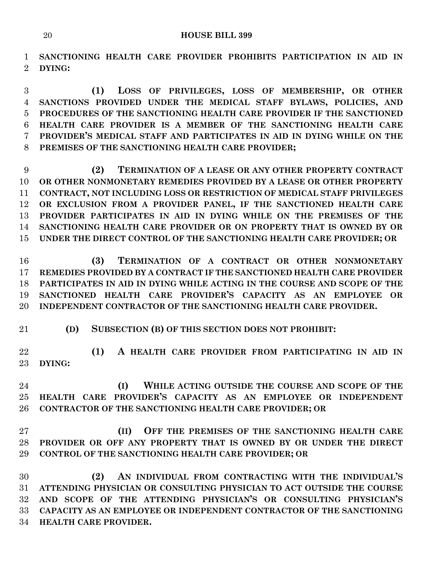**SANCTIONING HEALTH CARE PROVIDER PROHIBITS PARTICIPATION IN AID IN DYING:**

 **(1) LOSS OF PRIVILEGES, LOSS OF MEMBERSHIP, OR OTHER SANCTIONS PROVIDED UNDER THE MEDICAL STAFF BYLAWS, POLICIES, AND PROCEDURES OF THE SANCTIONING HEALTH CARE PROVIDER IF THE SANCTIONED HEALTH CARE PROVIDER IS A MEMBER OF THE SANCTIONING HEALTH CARE PROVIDER'S MEDICAL STAFF AND PARTICIPATES IN AID IN DYING WHILE ON THE PREMISES OF THE SANCTIONING HEALTH CARE PROVIDER;**

 **(2) TERMINATION OF A LEASE OR ANY OTHER PROPERTY CONTRACT OR OTHER NONMONETARY REMEDIES PROVIDED BY A LEASE OR OTHER PROPERTY CONTRACT, NOT INCLUDING LOSS OR RESTRICTION OF MEDICAL STAFF PRIVILEGES OR EXCLUSION FROM A PROVIDER PANEL, IF THE SANCTIONED HEALTH CARE PROVIDER PARTICIPATES IN AID IN DYING WHILE ON THE PREMISES OF THE SANCTIONING HEALTH CARE PROVIDER OR ON PROPERTY THAT IS OWNED BY OR UNDER THE DIRECT CONTROL OF THE SANCTIONING HEALTH CARE PROVIDER; OR**

16 (3) **TERMINATION OF A CONTRACT OR OTHER NONMONETARY REMEDIES PROVIDED BY A CONTRACT IF THE SANCTIONED HEALTH CARE PROVIDER PARTICIPATES IN AID IN DYING WHILE ACTING IN THE COURSE AND SCOPE OF THE SANCTIONED HEALTH CARE PROVIDER'S CAPACITY AS AN EMPLOYEE OR INDEPENDENT CONTRACTOR OF THE SANCTIONING HEALTH CARE PROVIDER.**

**(D) SUBSECTION (B) OF THIS SECTION DOES NOT PROHIBIT:**

 **(1) A HEALTH CARE PROVIDER FROM PARTICIPATING IN AID IN DYING:**

 **(I) WHILE ACTING OUTSIDE THE COURSE AND SCOPE OF THE HEALTH CARE PROVIDER'S CAPACITY AS AN EMPLOYEE OR INDEPENDENT CONTRACTOR OF THE SANCTIONING HEALTH CARE PROVIDER; OR**

 **(II) OFF THE PREMISES OF THE SANCTIONING HEALTH CARE PROVIDER OR OFF ANY PROPERTY THAT IS OWNED BY OR UNDER THE DIRECT CONTROL OF THE SANCTIONING HEALTH CARE PROVIDER; OR**

 **(2) AN INDIVIDUAL FROM CONTRACTING WITH THE INDIVIDUAL'S ATTENDING PHYSICIAN OR CONSULTING PHYSICIAN TO ACT OUTSIDE THE COURSE AND SCOPE OF THE ATTENDING PHYSICIAN'S OR CONSULTING PHYSICIAN'S CAPACITY AS AN EMPLOYEE OR INDEPENDENT CONTRACTOR OF THE SANCTIONING HEALTH CARE PROVIDER.**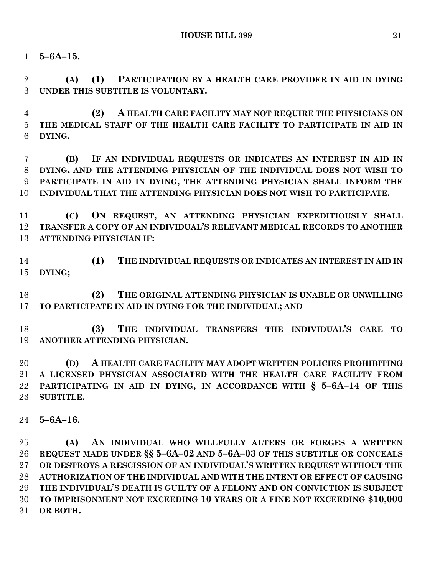**5–6A–15.**

 **(A) (1) PARTICIPATION BY A HEALTH CARE PROVIDER IN AID IN DYING UNDER THIS SUBTITLE IS VOLUNTARY.**

 **(2) A HEALTH CARE FACILITY MAY NOT REQUIRE THE PHYSICIANS ON THE MEDICAL STAFF OF THE HEALTH CARE FACILITY TO PARTICIPATE IN AID IN DYING.**

 **(B) IF AN INDIVIDUAL REQUESTS OR INDICATES AN INTEREST IN AID IN DYING, AND THE ATTENDING PHYSICIAN OF THE INDIVIDUAL DOES NOT WISH TO PARTICIPATE IN AID IN DYING, THE ATTENDING PHYSICIAN SHALL INFORM THE INDIVIDUAL THAT THE ATTENDING PHYSICIAN DOES NOT WISH TO PARTICIPATE.**

 **(C) ON REQUEST, AN ATTENDING PHYSICIAN EXPEDITIOUSLY SHALL TRANSFER A COPY OF AN INDIVIDUAL'S RELEVANT MEDICAL RECORDS TO ANOTHER ATTENDING PHYSICIAN IF:**

 **(1) THE INDIVIDUAL REQUESTS OR INDICATES AN INTEREST IN AID IN DYING;**

 **(2) THE ORIGINAL ATTENDING PHYSICIAN IS UNABLE OR UNWILLING TO PARTICIPATE IN AID IN DYING FOR THE INDIVIDUAL; AND** 

 **(3) THE INDIVIDUAL TRANSFERS THE INDIVIDUAL'S CARE TO ANOTHER ATTENDING PHYSICIAN.**

 **(D) A HEALTH CARE FACILITY MAY ADOPT WRITTEN POLICIES PROHIBITING A LICENSED PHYSICIAN ASSOCIATED WITH THE HEALTH CARE FACILITY FROM PARTICIPATING IN AID IN DYING, IN ACCORDANCE WITH § 5–6A–14 OF THIS SUBTITLE.**

**5–6A–16.**

 **(A) AN INDIVIDUAL WHO WILLFULLY ALTERS OR FORGES A WRITTEN REQUEST MADE UNDER §§ 5–6A–02 AND 5–6A–03 OF THIS SUBTITLE OR CONCEALS OR DESTROYS A RESCISSION OF AN INDIVIDUAL'S WRITTEN REQUEST WITHOUT THE AUTHORIZATION OF THE INDIVIDUAL AND WITH THE INTENT OR EFFECT OF CAUSING THE INDIVIDUAL'S DEATH IS GUILTY OF A FELONY AND ON CONVICTION IS SUBJECT TO IMPRISONMENT NOT EXCEEDING 10 YEARS OR A FINE NOT EXCEEDING \$10,000 OR BOTH.**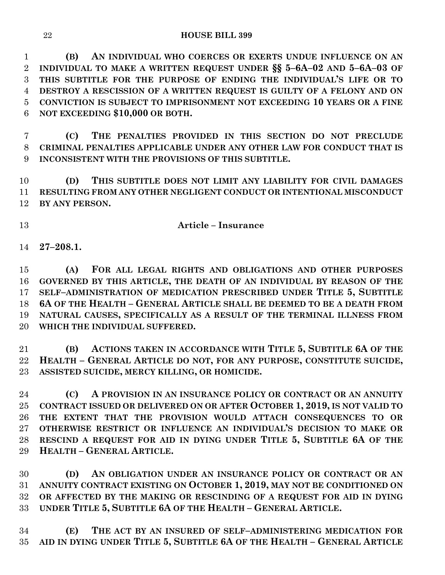**(B) AN INDIVIDUAL WHO COERCES OR EXERTS UNDUE INFLUENCE ON AN INDIVIDUAL TO MAKE A WRITTEN REQUEST UNDER §§ 5–6A–02 AND 5–6A–03 OF THIS SUBTITLE FOR THE PURPOSE OF ENDING THE INDIVIDUAL'S LIFE OR TO DESTROY A RESCISSION OF A WRITTEN REQUEST IS GUILTY OF A FELONY AND ON CONVICTION IS SUBJECT TO IMPRISONMENT NOT EXCEEDING 10 YEARS OR A FINE NOT EXCEEDING \$10,000 OR BOTH.**

 **(C) THE PENALTIES PROVIDED IN THIS SECTION DO NOT PRECLUDE CRIMINAL PENALTIES APPLICABLE UNDER ANY OTHER LAW FOR CONDUCT THAT IS INCONSISTENT WITH THE PROVISIONS OF THIS SUBTITLE.**

 **(D) THIS SUBTITLE DOES NOT LIMIT ANY LIABILITY FOR CIVIL DAMAGES RESULTING FROM ANY OTHER NEGLIGENT CONDUCT OR INTENTIONAL MISCONDUCT BY ANY PERSON.**

# **Article – Insurance**

**27–208.1.**

 **(A) FOR ALL LEGAL RIGHTS AND OBLIGATIONS AND OTHER PURPOSES GOVERNED BY THIS ARTICLE, THE DEATH OF AN INDIVIDUAL BY REASON OF THE SELF–ADMINISTRATION OF MEDICATION PRESCRIBED UNDER TITLE 5, SUBTITLE 6A OF THE HEALTH – GENERAL ARTICLE SHALL BE DEEMED TO BE A DEATH FROM NATURAL CAUSES, SPECIFICALLY AS A RESULT OF THE TERMINAL ILLNESS FROM WHICH THE INDIVIDUAL SUFFERED.**

 **(B) ACTIONS TAKEN IN ACCORDANCE WITH TITLE 5, SUBTITLE 6A OF THE HEALTH – GENERAL ARTICLE DO NOT, FOR ANY PURPOSE, CONSTITUTE SUICIDE, ASSISTED SUICIDE, MERCY KILLING, OR HOMICIDE.**

 **(C) A PROVISION IN AN INSURANCE POLICY OR CONTRACT OR AN ANNUITY CONTRACT ISSUED OR DELIVERED ON OR AFTER OCTOBER 1, 2019, IS NOT VALID TO THE EXTENT THAT THE PROVISION WOULD ATTACH CONSEQUENCES TO OR OTHERWISE RESTRICT OR INFLUENCE AN INDIVIDUAL'S DECISION TO MAKE OR RESCIND A REQUEST FOR AID IN DYING UNDER TITLE 5, SUBTITLE 6A OF THE HEALTH – GENERAL ARTICLE.**

 **(D) AN OBLIGATION UNDER AN INSURANCE POLICY OR CONTRACT OR AN ANNUITY CONTRACT EXISTING ON OCTOBER 1, 2019, MAY NOT BE CONDITIONED ON OR AFFECTED BY THE MAKING OR RESCINDING OF A REQUEST FOR AID IN DYING UNDER TITLE 5, SUBTITLE 6A OF THE HEALTH – GENERAL ARTICLE.**

 **(E) THE ACT BY AN INSURED OF SELF–ADMINISTERING MEDICATION FOR AID IN DYING UNDER TITLE 5, SUBTITLE 6A OF THE HEALTH – GENERAL ARTICLE**